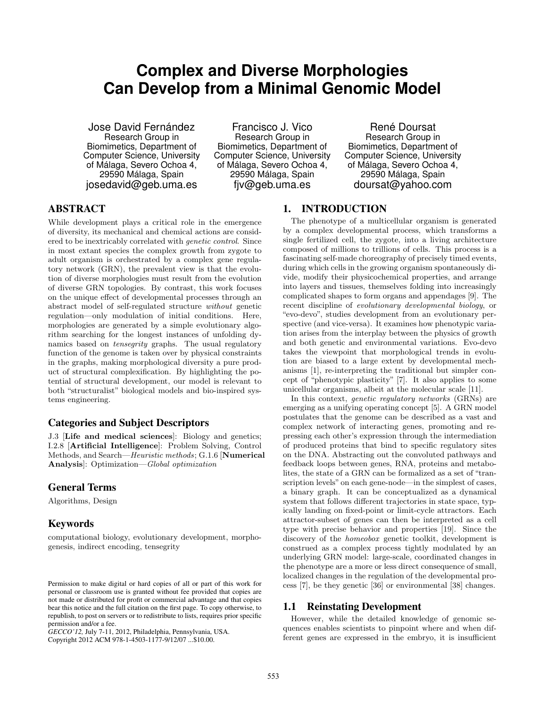# **Complex and Diverse Morphologies Can Develop from a Minimal Genomic Model**

Jose David Fernández Research Group in Biomimetics, Department of Computer Science, University of Málaga, Severo Ochoa 4, 29590 Málaga, Spain josedavid@geb.uma.es

Francisco J. Vico Research Group in Biomimetics, Department of Computer Science, University of Málaga, Severo Ochoa 4, 29590 Málaga, Spain fjv@geb.uma.es

René Doursat Research Group in Biomimetics, Department of Computer Science, University of Málaga, Severo Ochoa 4, 29590 Málaga, Spain doursat@yahoo.com

# ABSTRACT

While development plays a critical role in the emergence of diversity, its mechanical and chemical actions are considered to be inextricably correlated with genetic control. Since in most extant species the complex growth from zygote to adult organism is orchestrated by a complex gene regulatory network (GRN), the prevalent view is that the evolution of diverse morphologies must result from the evolution of diverse GRN topologies. By contrast, this work focuses on the unique effect of developmental processes through an abstract model of self-regulated structure without genetic regulation—only modulation of initial conditions. Here, morphologies are generated by a simple evolutionary algorithm searching for the longest instances of unfolding dynamics based on tensegrity graphs. The usual regulatory function of the genome is taken over by physical constraints in the graphs, making morphological diversity a pure product of structural complexification. By highlighting the potential of structural development, our model is relevant to both "structuralist" biological models and bio-inspired systems engineering.

# Categories and Subject Descriptors

J.3 [Life and medical sciences]: Biology and genetics; I.2.8 [Artificial Intelligence]: Problem Solving, Control Methods, and Search—Heuristic methods; G.1.6 [Numerical Analysis]: Optimization—Global optimization

#### General Terms

Algorithms, Design

# Keywords

computational biology, evolutionary development, morphogenesis, indirect encoding, tensegrity

*GECCO'12,* July 7-11, 2012, Philadelphia, Pennsylvania, USA. Copyright 2012 ACM 978-1-4503-1177-9/12/07 ...\$10.00.

### 1. INTRODUCTION

The phenotype of a multicellular organism is generated by a complex developmental process, which transforms a single fertilized cell, the zygote, into a living architecture composed of millions to trillions of cells. This process is a fascinating self-made choreography of precisely timed events, during which cells in the growing organism spontaneously divide, modify their physicochemical properties, and arrange into layers and tissues, themselves folding into increasingly complicated shapes to form organs and appendages [9]. The recent discipline of evolutionary developmental biology, or "evo-devo", studies development from an evolutionary perspective (and vice-versa). It examines how phenotypic variation arises from the interplay between the physics of growth and both genetic and environmental variations. Evo-devo takes the viewpoint that morphological trends in evolution are biased to a large extent by developmental mechanisms [1], re-interpreting the traditional but simpler concept of "phenotypic plasticity" [7]. It also applies to some unicellular organisms, albeit at the molecular scale [11].

In this context, *genetic regulatory networks* (GRNs) are emerging as a unifying operating concept [5]. A GRN model postulates that the genome can be described as a vast and complex network of interacting genes, promoting and repressing each other's expression through the intermediation of produced proteins that bind to specific regulatory sites on the DNA. Abstracting out the convoluted pathways and feedback loops between genes, RNA, proteins and metabolites, the state of a GRN can be formalized as a set of "transcription levels" on each gene-node—in the simplest of cases, a binary graph. It can be conceptualized as a dynamical system that follows different trajectories in state space, typically landing on fixed-point or limit-cycle attractors. Each attractor-subset of genes can then be interpreted as a cell type with precise behavior and properties [19]. Since the discovery of the homeobox genetic toolkit, development is construed as a complex process tightly modulated by an underlying GRN model: large-scale, coordinated changes in the phenotype are a more or less direct consequence of small, localized changes in the regulation of the developmental process [7], be they genetic [36] or environmental [38] changes.

# 1.1 Reinstating Development

However, while the detailed knowledge of genomic sequences enables scientists to pinpoint where and when different genes are expressed in the embryo, it is insufficient

Permission to make digital or hard copies of all or part of this work for personal or classroom use is granted without fee provided that copies are not made or distributed for profit or commercial advantage and that copies bear this notice and the full citation on the first page. To copy otherwise, to republish, to post on servers or to redistribute to lists, requires prior specific permission and/or a fee.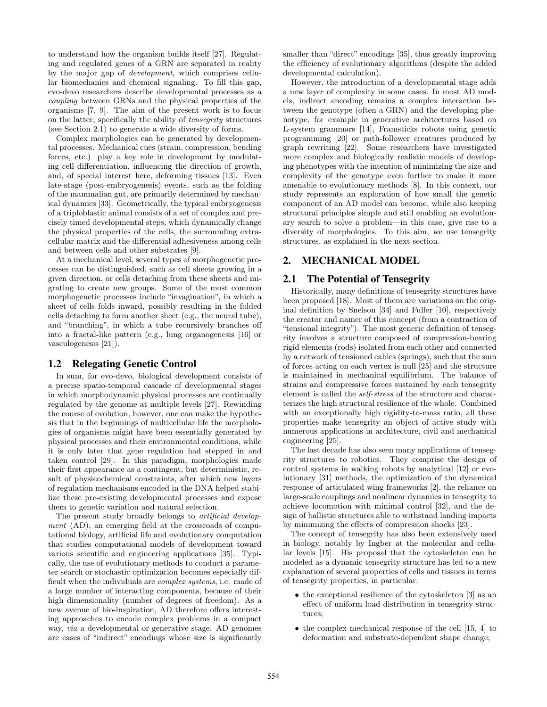to understand how the organism builds itself [27]. Regulating and regulated genes of a GRN are separated in reality by the major gap of development, which comprises cellular biomechanics and chemical signaling. To fill this gap, evo-devo researchers describe developmental processes as a coupling between GRNs and the physical properties of the organisms [7, 9]. The aim of the present work is to focus on the latter, specifically the ability of tensegrity structures (see Section 2.1) to generate a wide diversity of forms.

Complex morphologies can be generated by developmental processes. Mechanical cues (strain, compression, bending forces, etc.) play a key role in development by modulating cell differentiation, influencing the direction of growth, and, of special interest here, deforming tissues [13]. Even late-stage (post-embryogenesis) events, such as the folding of the mammalian gut, are primarily determined by mechanical dynamics [33]. Geometrically, the typical embryogenesis of a triploblastic animal consists of a set of complex and precisely timed developmental steps, which dynamically change the physical properties of the cells, the surrounding extracellular matrix and the differential adhesiveness among cells and between cells and other substrates [9].

At a mechanical level, several types of morphogenetic processes can be distinguished, such as cell sheets growing in a given direction, or cells detaching from these sheets and migrating to create new groups. Some of the most common morphogenetic processes include "invagination", in which a sheet of cells folds inward, possibly resulting in the folded cells detaching to form another sheet (e.g., the neural tube), and "branching", in which a tube recursively branches off into a fractal-like pattern (e.g., lung organogenesis [16] or vasculogenesis [21]).

### 1.2 Relegating Genetic Control

In sum, for evo-devo, biological development consists of a precise spatio-temporal cascade of developmental stages in which morphodynamic physical processes are continually regulated by the genome at multiple levels [27]. Rewinding the course of evolution, however, one can make the hypothesis that in the beginnings of multicellular life the morphologies of organisms might have been essentially generated by physical processes and their environmental conditions, while it is only later that gene regulation had stepped in and taken control [29]. In this paradigm, morphologies made their first appearance as a contingent, but deterministic, result of physicochemical constraints, after which new layers of regulation mechanisms encoded in the DNA helped stabilize these pre-existing developmental processes and expose them to genetic variation and natural selection.

The present study broadly belongs to *artificial develop*ment (AD), an emerging field at the crossroads of computational biology, artificial life and evolutionary computation that studies computational models of development toward various scientific and engineering applications [35]. Typically, the use of evolutionary methods to conduct a parameter search or stochastic optimization becomes especially difficult when the individuals are complex systems, i.e. made of a large number of interacting components, because of their high dimensionality (number of degrees of freedom). As a new avenue of bio-inspiration, AD therefore offers interesting approaches to encode complex problems in a compact way, via a developmental or generative stage. AD genomes are cases of "indirect" encodings whose size is significantly smaller than "direct" encodings [35], thus greatly improving the efficiency of evolutionary algorithms (despite the added developmental calculation).

However, the introduction of a developmental stage adds a new layer of complexity in some cases. In most AD models, indirect encoding remains a complex interaction between the genotype (often a GRN) and the developing phenotype, for example in generative architectures based on L-system grammars [14], Framsticks robots using genetic programming [20] or path-follower creatures produced by graph rewriting [22]. Some researchers have investigated more complex and biologically realistic models of developing phenotypes with the intention of minimizing the size and complexity of the genotype even further to make it more amenable to evolutionary methods [8]. In this context, our study represents an exploration of how small the genetic component of an AD model can become, while also keeping structural principles simple and still enabling an evolutionary search to solve a problem—in this case, give rise to a diversity of morphologies. To this aim, we use tensegrity structures, as explained in the next section.

#### 2. MECHANICAL MODEL

# 2.1 The Potential of Tensegrity

Historically, many definitions of tensegrity structures have been proposed [18]. Most of them are variations on the original definition by Snelson [34] and Fuller [10], respectively the creator and namer of this concept (from a contraction of "tensional integrity"). The most generic definition of tensegrity involves a structure composed of compression-bearing rigid elements (rods) isolated from each other and connected by a network of tensioned cables (springs), such that the sum of forces acting on each vertex is null [25] and the structure is maintained in mechanical equilibrium. The balance of strains and compressive forces sustained by each tensegrity element is called the self-stress of the structure and characterizes the high structural resilience of the whole. Combined with an exceptionally high rigidity-to-mass ratio, all these properties make tensegrity an object of active study with numerous applications in architecture, civil and mechanical engineering [25].

The last decade has also seen many applications of tensegrity structures to robotics. They comprise the design of control systems in walking robots by analytical [12] or evolutionary [31] methods, the optimization of the dynamical response of articulated wing frameworks [2], the reliance on large-scale couplings and nonlinear dynamics in tensegrity to achieve locomotion with minimal control [32], and the design of ballistic structures able to withstand landing impacts by minimizing the effects of compression shocks [23].

The concept of tensegrity has also been extensively used in biology, notably by Ingber at the molecular and cellular levels [15]. His proposal that the cytoskeleton can be modeled as a dynamic tensegrity structure has led to a new explanation of several properties of cells and tissues in terms of tensegrity properties, in particular:

- the exceptional resilience of the cytoskeleton [3] as an effect of uniform load distribution in tensegrity structures;
- the complex mechanical response of the cell [15, 4] to deformation and substrate-dependent shape change;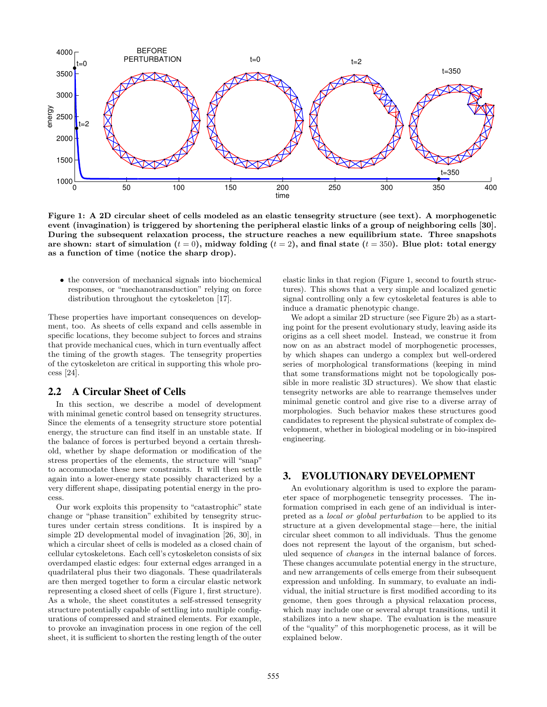

Figure 1: A 2D circular sheet of cells modeled as an elastic tensegrity structure (see text). A morphogenetic event (invagination) is triggered by shortening the peripheral elastic links of a group of neighboring cells [30]. During the subsequent relaxation process, the structure reaches a new equilibrium state. Three snapshots are shown: start of simulation  $(t = 0)$ , midway folding  $(t = 2)$ , and final state  $(t = 350)$ . Blue plot: total energy as a function of time (notice the sharp drop).

• the conversion of mechanical signals into biochemical responses, or "mechanotransduction" relying on force distribution throughout the cytoskeleton [17].

These properties have important consequences on development, too. As sheets of cells expand and cells assemble in specific locations, they become subject to forces and strains that provide mechanical cues, which in turn eventually affect the timing of the growth stages. The tensegrity properties of the cytoskeleton are critical in supporting this whole process [24].

#### 2.2 A Circular Sheet of Cells

In this section, we describe a model of development with minimal genetic control based on tensegrity structures. Since the elements of a tensegrity structure store potential energy, the structure can find itself in an unstable state. If the balance of forces is perturbed beyond a certain threshold, whether by shape deformation or modification of the stress properties of the elements, the structure will "snap" to accommodate these new constraints. It will then settle again into a lower-energy state possibly characterized by a very different shape, dissipating potential energy in the process.

Our work exploits this propensity to "catastrophic" state change or "phase transition" exhibited by tensegrity structures under certain stress conditions. It is inspired by a simple 2D developmental model of invagination [26, 30], in which a circular sheet of cells is modeled as a closed chain of cellular cytoskeletons. Each cell's cytoskeleton consists of six overdamped elastic edges: four external edges arranged in a quadrilateral plus their two diagonals. These quadrilaterals are then merged together to form a circular elastic network representing a closed sheet of cells (Figure 1, first structure). As a whole, the sheet constitutes a self-stressed tensegrity structure potentially capable of settling into multiple configurations of compressed and strained elements. For example, to provoke an invagination process in one region of the cell sheet, it is sufficient to shorten the resting length of the outer

elastic links in that region (Figure 1, second to fourth structures). This shows that a very simple and localized genetic signal controlling only a few cytoskeletal features is able to induce a dramatic phenotypic change.

We adopt a similar 2D structure (see Figure 2b) as a starting point for the present evolutionary study, leaving aside its origins as a cell sheet model. Instead, we construe it from now on as an abstract model of morphogenetic processes, by which shapes can undergo a complex but well-ordered series of morphological transformations (keeping in mind that some transformations might not be topologically possible in more realistic 3D structures). We show that elastic tensegrity networks are able to rearrange themselves under minimal genetic control and give rise to a diverse array of morphologies. Such behavior makes these structures good candidates to represent the physical substrate of complex development, whether in biological modeling or in bio-inspired engineering.

### 3. EVOLUTIONARY DEVELOPMENT

An evolutionary algorithm is used to explore the parameter space of morphogenetic tensegrity processes. The information comprised in each gene of an individual is interpreted as a local or global perturbation to be applied to its structure at a given developmental stage—here, the initial circular sheet common to all individuals. Thus the genome does not represent the layout of the organism, but scheduled sequence of changes in the internal balance of forces. These changes accumulate potential energy in the structure, and new arrangements of cells emerge from their subsequent expression and unfolding. In summary, to evaluate an individual, the initial structure is first modified according to its genome, then goes through a physical relaxation process, which may include one or several abrupt transitions, until it stabilizes into a new shape. The evaluation is the measure of the "quality" of this morphogenetic process, as it will be explained below.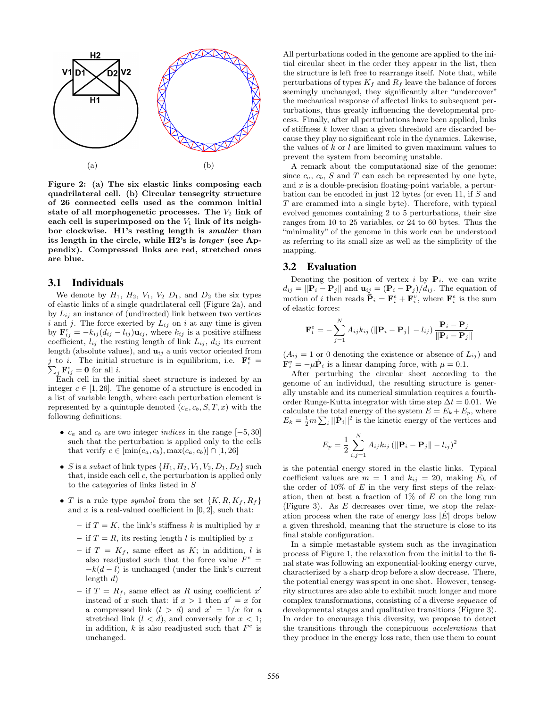

Figure 2: (a) The six elastic links composing each quadrilateral cell. (b) Circular tensegrity structure of 26 connected cells used as the common initial state of all morphogenetic processes. The  $V_2$  link of each cell is superimposed on the  $V_1$  link of its neighbor clockwise. H1's resting length is smaller than its length in the circle, while H2's is longer (see Appendix). Compressed links are red, stretched ones are blue.

#### 3.1 Individuals

We denote by  $H_1$ ,  $H_2$ ,  $V_1$ ,  $V_2$   $D_1$ , and  $D_2$  the six types of elastic links of a single quadrilateral cell (Figure 2a), and by  $L_{ij}$  an instance of (undirected) link between two vertices i and j. The force exerted by  $L_{ij}$  on i at any time is given by  $\mathbf{F}_{ij}^e = -k_{ij} (d_{ij} - l_{ij}) \mathbf{u}_{ij}$ , where  $k_{ij}$  is a positive stiffness coefficient,  $l_{ij}$  the resting length of link  $L_{ij}$ ,  $d_{ij}$  its current length (absolute values), and  $\mathbf{u}_{ij}$  a unit vector oriented from j to i. The initial structure is in equilibrium, i.e.  $\mathbf{F}_i^e = \sum_i \mathbf{F}_{ij}^e = \mathbf{0}$  for all i.  $_{j}$  **F**<sup>e</sup><sub>ij</sub> = **0** for all *i*.

Each cell in the initial sheet structure is indexed by an integer  $c \in [1, 26]$ . The genome of a structure is encoded in a list of variable length, where each perturbation element is represented by a quintuple denoted  $(c_a, c_b, S, T, x)$  with the following definitions:

- $c_a$  and  $c_b$  are two integer *indices* in the range  $[-5, 30]$ such that the perturbation is applied only to the cells that verify  $c \in [\min(c_a, c_b), \max(c_a, c_b)] \cap [1, 26]$
- S is a subset of link types  $\{H_1, H_2, V_1, V_2, D_1, D_2\}$  such that, inside each cell c, the perturbation is applied only to the categories of links listed in S
- T is a rule type symbol from the set  $\{K, R, K_f, R_f\}$ and  $x$  is a real-valued coefficient in  $[0, 2]$ , such that:
	- if  $T = K$ , the link's stiffness k is multiplied by x
	- if  $T = R$ , its resting length l is multiplied by x
	- if  $T = K_f$ , same effect as K; in addition, l is also readjusted such that the force value  $F^e$  =  $-k(d - l)$  is unchanged (under the link's current length  $d$ )
	- if  $T = R_f$ , same effect as R using coefficient x' instead of x such that: if  $x > 1$  then  $x' = x$  for a compressed link  $(l > d)$  and  $x' = 1/x$  for a stretched link  $(l < d)$ , and conversely for  $x < 1$ ; in addition,  $k$  is also readjusted such that  $F^e$  is unchanged.

All perturbations coded in the genome are applied to the initial circular sheet in the order they appear in the list, then the structure is left free to rearrange itself. Note that, while perturbations of types  $K_f$  and  $R_f$  leave the balance of forces seemingly unchanged, they significantly alter "undercover" the mechanical response of affected links to subsequent perturbations, thus greatly influencing the developmental process. Finally, after all perturbations have been applied, links of stiffness k lower than a given threshold are discarded because they play no significant role in the dynamics. Likewise, the values of  $k$  or  $l$  are limited to given maximum values to prevent the system from becoming unstable.

A remark about the computational size of the genome: since  $c_a$ ,  $c_b$ , S and T can each be represented by one byte, and  $x$  is a double-precision floating-point variable, a perturbation can be encoded in just 12 bytes (or even 11, if S and  $T$  are crammed into a single byte). Therefore, with typical evolved genomes containing 2 to 5 perturbations, their size ranges from 10 to 25 variables, or 24 to 60 bytes. Thus the "minimality" of the genome in this work can be understood as referring to its small size as well as the simplicity of the mapping.

### 3.2 Evaluation

Denoting the position of vertex i by  $P_i$ , we can write  $d_{ij} = ||\mathbf{P}_i - \mathbf{P}_j||$  and  $\mathbf{u}_{ij} = (\mathbf{P}_i - \mathbf{P}_j)/d_{ij}$ . The equation of motion of *i* then reads  $\ddot{\mathbf{P}}_i = \mathbf{F}_i^e + \mathbf{F}_i^v$ , where  $\mathbf{F}_i^e$  is the sum of elastic forces:

$$
\mathbf{F}_{i}^{e} = -\sum_{j=1}^{N} A_{ij} k_{ij} (\|\mathbf{P}_{i} - \mathbf{P}_{j}\| - l_{ij}) \frac{\mathbf{P}_{i} - \mathbf{P}_{j}}{\|\mathbf{P}_{i} - \mathbf{P}_{j}\|}
$$

 $(A_{ij} = 1 \text{ or } 0 \text{ denoting the existence or absence of } L_{ij}$  and  $\mathbf{F}_i^v = -\mu \dot{\mathbf{P}}_i$  is a linear damping force, with  $\mu = 0.1$ .

After perturbing the circular sheet according to the genome of an individual, the resulting structure is generally unstable and its numerical simulation requires a fourthorder Runge-Kutta integrator with time step  $\Delta t = 0.01$ . We calculate the total energy of the system  $E = E_k + E_p$ , where  $E_k = \frac{1}{2}m \sum_i ||\dot{\mathbf{P}}_i||^2$  is the kinetic energy of the vertices and

$$
E_p = \frac{1}{2} \sum_{i,j=1}^{N} A_{ij} k_{ij} (\|\mathbf{P}_i - \mathbf{P}_j\| - l_{ij})^2
$$

is the potential energy stored in the elastic links. Typical coefficient values are  $m = 1$  and  $k_{ij} = 20$ , making  $E_k$  of the order of  $10\%$  of E in the very first steps of the relaxation, then at best a fraction of  $1\%$  of E on the long run (Figure 3). As E decreases over time, we stop the relaxation process when the rate of energy loss  $|\dot{E}|$  drops below a given threshold, meaning that the structure is close to its final stable configuration.

In a simple metastable system such as the invagination process of Figure 1, the relaxation from the initial to the final state was following an exponential-looking energy curve, characterized by a sharp drop before a slow decrease. There, the potential energy was spent in one shot. However, tensegrity structures are also able to exhibit much longer and more complex transformations, consisting of a diverse sequence of developmental stages and qualitative transitions (Figure 3). In order to encourage this diversity, we propose to detect the transitions through the conspicuous accelerations that they produce in the energy loss rate, then use them to count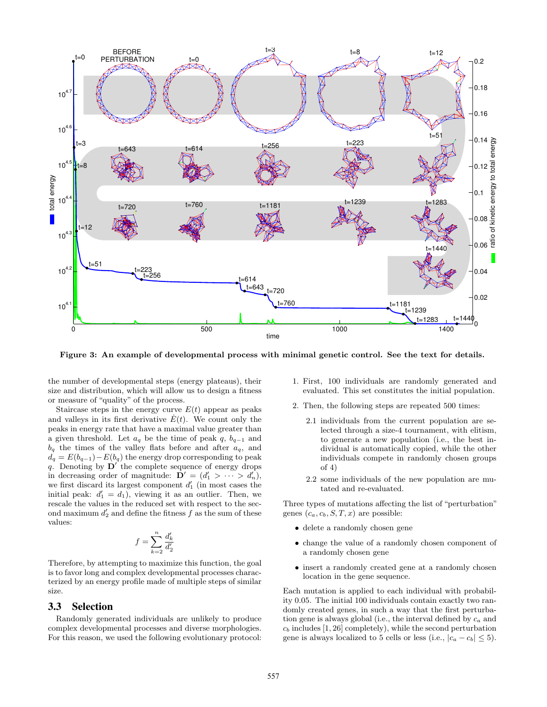

Figure 3: An example of developmental process with minimal genetic control. See the text for details.

the number of developmental steps (energy plateaus), their size and distribution, which will allow us to design a fitness or measure of "quality" of the process.

Staircase steps in the energy curve  $E(t)$  appear as peaks and valleys in its first derivative  $E(t)$ . We count only the peaks in energy rate that have a maximal value greater than a given threshold. Let  $a_q$  be the time of peak  $q, b_{q-1}$  and  $b_q$  the times of the valley flats before and after  $a_q$ , and  $d_q = E(b_{q-1}) - E(b_q)$  the energy drop corresponding to peak q. Denoting by  $\mathbf{D}'$  the complete sequence of energy drops in decreasing order of magnitude:  $\mathbf{D}' = (d'_1 > \cdots > d'_n),$ we first discard its largest component  $d_1'$  (in most cases the initial peak:  $d_1' = d_1$ , viewing it as an outlier. Then, we rescale the values in the reduced set with respect to the second maximum  $d'_2$  and define the fitness  $f$  as the sum of these values:

$$
f = \sum_{k=2}^{n} \frac{d'_k}{d'_2}
$$

Therefore, by attempting to maximize this function, the goal is to favor long and complex developmental processes characterized by an energy profile made of multiple steps of similar size.

#### 3.3 Selection

Randomly generated individuals are unlikely to produce complex developmental processes and diverse morphologies. For this reason, we used the following evolutionary protocol:

- 1. First, 100 individuals are randomly generated and evaluated. This set constitutes the initial population.
- 2. Then, the following steps are repeated 500 times:
	- 2.1 individuals from the current population are selected through a size-4 tournament, with elitism, to generate a new population (i.e., the best individual is automatically copied, while the other individuals compete in randomly chosen groups of 4)
	- 2.2 some individuals of the new population are mutated and re-evaluated.

Three types of mutations affecting the list of "perturbation" genes  $(c_a, c_b, S, T, x)$  are possible:

- delete a randomly chosen gene
- change the value of a randomly chosen component of a randomly chosen gene
- insert a randomly created gene at a randomly chosen location in the gene sequence.

Each mutation is applied to each individual with probability 0.05. The initial 100 individuals contain exactly two randomly created genes, in such a way that the first perturbation gene is always global (i.e., the interval defined by  $c_a$  and  $c<sub>b</sub>$  includes [1, 26] completely), while the second perturbation gene is always localized to 5 cells or less (i.e.,  $|c_a - c_b| \leq 5$ ).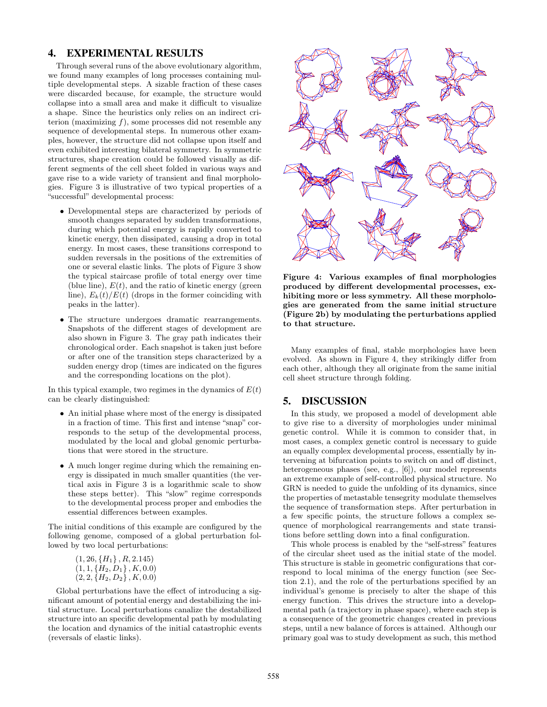# 4. EXPERIMENTAL RESULTS

Through several runs of the above evolutionary algorithm, we found many examples of long processes containing multiple developmental steps. A sizable fraction of these cases were discarded because, for example, the structure would collapse into a small area and make it difficult to visualize a shape. Since the heuristics only relies on an indirect criterion (maximizing  $f$ ), some processes did not resemble any sequence of developmental steps. In numerous other examples, however, the structure did not collapse upon itself and even exhibited interesting bilateral symmetry. In symmetric structures, shape creation could be followed visually as different segments of the cell sheet folded in various ways and gave rise to a wide variety of transient and final morphologies. Figure 3 is illustrative of two typical properties of a "successful" developmental process:

- Developmental steps are characterized by periods of smooth changes separated by sudden transformations, during which potential energy is rapidly converted to kinetic energy, then dissipated, causing a drop in total energy. In most cases, these transitions correspond to sudden reversals in the positions of the extremities of one or several elastic links. The plots of Figure 3 show the typical staircase profile of total energy over time (blue line),  $E(t)$ , and the ratio of kinetic energy (green) line),  $E_k(t)/E(t)$  (drops in the former coinciding with peaks in the latter).
- The structure undergoes dramatic rearrangements. Snapshots of the different stages of development are also shown in Figure 3. The gray path indicates their chronological order. Each snapshot is taken just before or after one of the transition steps characterized by a sudden energy drop (times are indicated on the figures and the corresponding locations on the plot).

In this typical example, two regimes in the dynamics of  $E(t)$ can be clearly distinguished:

- An initial phase where most of the energy is dissipated in a fraction of time. This first and intense "snap" corresponds to the setup of the developmental process, modulated by the local and global genomic perturbations that were stored in the structure.
- A much longer regime during which the remaining energy is dissipated in much smaller quantities (the vertical axis in Figure 3 is a logarithmic scale to show these steps better). This "slow" regime corresponds to the developmental process proper and embodies the essential differences between examples.

The initial conditions of this example are configured by the following genome, composed of a global perturbation followed by two local perturbations:

> $(1, 26, \{H_1\}, R, 2.145)$  $(1, 1, {H_2, D_1}, K, 0.0)$  $(2, 2, {H_2, D_2}, K, 0.0)$

Global perturbations have the effect of introducing a significant amount of potential energy and destabilizing the initial structure. Local perturbations canalize the destabilized structure into an specific developmental path by modulating the location and dynamics of the initial catastrophic events (reversals of elastic links).



Figure 4: Various examples of final morphologies produced by different developmental processes, exhibiting more or less symmetry. All these morphologies are generated from the same initial structure (Figure 2b) by modulating the perturbations applied to that structure.

Many examples of final, stable morphologies have been evolved. As shown in Figure 4, they strikingly differ from each other, although they all originate from the same initial cell sheet structure through folding.

#### 5. DISCUSSION

In this study, we proposed a model of development able to give rise to a diversity of morphologies under minimal genetic control. While it is common to consider that, in most cases, a complex genetic control is necessary to guide an equally complex developmental process, essentially by intervening at bifurcation points to switch on and off distinct, heterogeneous phases (see, e.g., [6]), our model represents an extreme example of self-controlled physical structure. No GRN is needed to guide the unfolding of its dynamics, since the properties of metastable tensegrity modulate themselves the sequence of transformation steps. After perturbation in a few specific points, the structure follows a complex sequence of morphological rearrangements and state transitions before settling down into a final configuration.

This whole process is enabled by the "self-stress" features of the circular sheet used as the initial state of the model. This structure is stable in geometric configurations that correspond to local minima of the energy function (see Section 2.1), and the role of the perturbations specified by an individual's genome is precisely to alter the shape of this energy function. This drives the structure into a developmental path (a trajectory in phase space), where each step is a consequence of the geometric changes created in previous steps, until a new balance of forces is attained. Although our primary goal was to study development as such, this method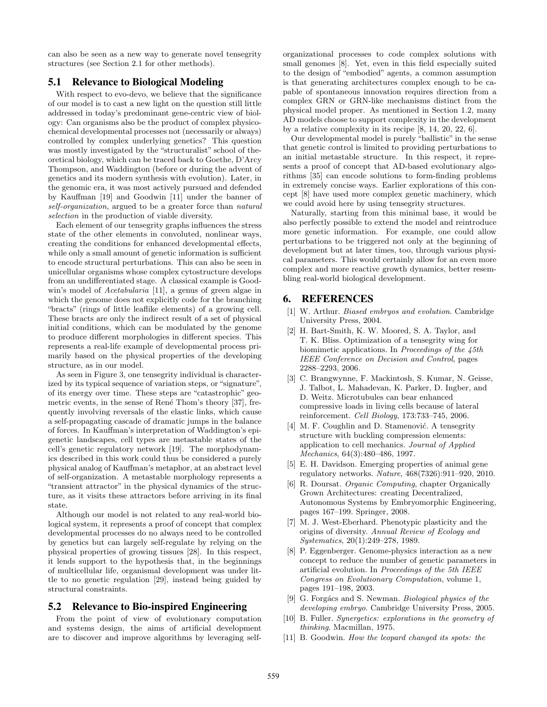can also be seen as a new way to generate novel tensegrity structures (see Section 2.1 for other methods).

# 5.1 Relevance to Biological Modeling

With respect to evo-devo, we believe that the significance of our model is to cast a new light on the question still little addressed in today's predominant gene-centric view of biology: Can organisms also be the product of complex physicochemical developmental processes not (necessarily or always) controlled by complex underlying genetics? This question was mostly investigated by the "structuralist" school of theoretical biology, which can be traced back to Goethe, D'Arcy Thompson, and Waddington (before or during the advent of genetics and its modern synthesis with evolution). Later, in the genomic era, it was most actively pursued and defended by Kauffman [19] and Goodwin [11] under the banner of self-organization, argued to be a greater force than natural selection in the production of viable diversity.

Each element of our tensegrity graphs influences the stress state of the other elements in convoluted, nonlinear ways, creating the conditions for enhanced developmental effects, while only a small amount of genetic information is sufficient to encode structural perturbations. This can also be seen in unicellular organisms whose complex cytostructure develops from an undifferentiated stage. A classical example is Goodwin's model of Acetabularia [11], a genus of green algae in which the genome does not explicitly code for the branching "bracts" (rings of little leaflike elements) of a growing cell. These bracts are only the indirect result of a set of physical initial conditions, which can be modulated by the genome to produce different morphologies in different species. This represents a real-life example of developmental process primarily based on the physical properties of the developing structure, as in our model.

As seen in Figure 3, one tensegrity individual is characterized by its typical sequence of variation steps, or "signature", of its energy over time. These steps are "catastrophic" geometric events, in the sense of René Thom's theory [37], frequently involving reversals of the elastic links, which cause a self-propagating cascade of dramatic jumps in the balance of forces. In Kauffman's interpretation of Waddington's epigenetic landscapes, cell types are metastable states of the cell's genetic regulatory network [19]. The morphodynamics described in this work could thus be considered a purely physical analog of Kauffman's metaphor, at an abstract level of self-organization. A metastable morphology represents a "transient attractor" in the physical dynamics of the structure, as it visits these attractors before arriving in its final state.

Although our model is not related to any real-world biological system, it represents a proof of concept that complex developmental processes do no always need to be controlled by genetics but can largely self-regulate by relying on the physical properties of growing tissues [28]. In this respect, it lends support to the hypothesis that, in the beginnings of multicellular life, organismal development was under little to no genetic regulation [29], instead being guided by structural constraints.

#### 5.2 Relevance to Bio-inspired Engineering

From the point of view of evolutionary computation and systems design, the aims of artificial development are to discover and improve algorithms by leveraging selforganizational processes to code complex solutions with small genomes [8]. Yet, even in this field especially suited to the design of "embodied" agents, a common assumption is that generating architectures complex enough to be capable of spontaneous innovation requires direction from a complex GRN or GRN-like mechanisms distinct from the physical model proper. As mentioned in Section 1.2, many AD models choose to support complexity in the development by a relative complexity in its recipe [8, 14, 20, 22, 6].

Our developmental model is purely "ballistic" in the sense that genetic control is limited to providing perturbations to an initial metastable structure. In this respect, it represents a proof of concept that AD-based evolutionary algorithms [35] can encode solutions to form-finding problems in extremely concise ways. Earlier explorations of this concept [8] have used more complex genetic machinery, which we could avoid here by using tensegrity structures.

Naturally, starting from this minimal base, it would be also perfectly possible to extend the model and reintroduce more genetic information. For example, one could allow perturbations to be triggered not only at the beginning of development but at later times, too, through various physical parameters. This would certainly allow for an even more complex and more reactive growth dynamics, better resembling real-world biological development.

### 6. REFERENCES

- [1] W. Arthur. Biased embryos and evolution. Cambridge University Press, 2004.
- [2] H. Bart-Smith, K. W. Moored, S. A. Taylor, and T. K. Bliss. Optimization of a tensegrity wing for biomimetic applications. In Proceedings of the 45th IEEE Conference on Decision and Control, pages 2288–2293, 2006.
- [3] C. Brangwynne, F. Mackintosh, S. Kumar, N. Geisse, J. Talbot, L. Mahadevan, K. Parker, D. Ingber, and D. Weitz. Microtubules can bear enhanced compressive loads in living cells because of lateral reinforcement. Cell Biology, 173:733–745, 2006.
- [4] M. F. Coughlin and D. Stamenović. A tensegrity structure with buckling compression elements: application to cell mechanics. Journal of Applied Mechanics, 64(3):480–486, 1997.
- [5] E. H. Davidson. Emerging properties of animal gene regulatory networks. Nature, 468(7326):911–920, 2010.
- [6] R. Doursat. Organic Computing, chapter Organically Grown Architectures: creating Decentralized, Autonomous Systems by Embryomorphic Engineering, pages 167–199. Springer, 2008.
- [7] M. J. West-Eberhard. Phenotypic plasticity and the origins of diversity. Annual Review of Ecology and Systematics, 20(1):249–278, 1989.
- [8] P. Eggenberger. Genome-physics interaction as a new concept to reduce the number of genetic parameters in artificial evolution. In Proceedings of the 5th IEEE Congress on Evolutionary Computation, volume 1, pages 191–198, 2003.
- [9] G. Forgács and S. Newman. Biological physics of the developing embryo. Cambridge University Press, 2005.
- [10] B. Fuller. Synergetics: explorations in the geometry of thinking. Macmillan, 1975.
- [11] B. Goodwin. How the leopard changed its spots: the